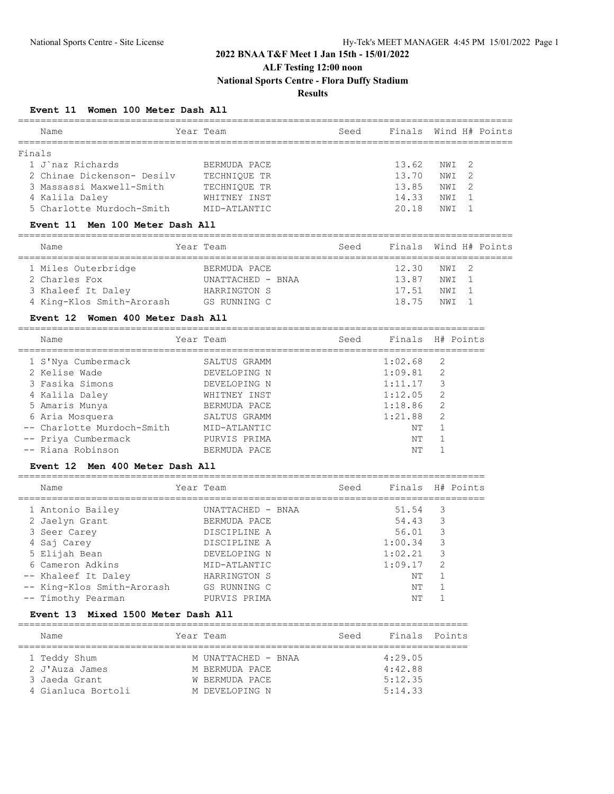# **2022 BNAA T&F Meet 1 Jan 15th - 15/01/2022**

**ALF Testing 12:00 noon**

**National Sports Centre - Flora Duffy Stadium**

### **Results**

#### **Event 11 Women 100 Meter Dash All**

| Name                              | Year Team         | Seed | Finals Wind H# Points |                 |               |                |
|-----------------------------------|-------------------|------|-----------------------|-----------------|---------------|----------------|
| Finals                            |                   |      |                       |                 |               |                |
| 1 J`naz Richards                  | BERMUDA PACE      |      | 13.62                 | NW T            | 2             |                |
| 2 Chinae Dickenson- Desilv        | TECHNIOUE TR      |      | 13.70                 | NW T            | $\mathcal{P}$ |                |
| 3 Massassi Maxwell-Smith          | TECHNIOUE TR      |      | 13.85                 | NWI             | 2             |                |
| 4 Kalila Daley                    | WHITNEY INST      |      | 14.33                 | NWI             |               |                |
| 5 Charlotte Murdoch-Smith         | MID-ATLANTIC      |      | 20.18                 | NWI             |               |                |
| Event 11 Men 100 Meter Dash All   |                   |      |                       |                 |               |                |
| Name                              | Year Team         | Seed | Finals                |                 |               | Wind H# Points |
|                                   |                   |      |                       |                 |               |                |
| 1 Miles Outerbridge               | BERMUDA PACE      |      | 12.30                 | NWI             | 2             |                |
| 2 Charles Fox                     | UNATTACHED - BNAA |      | 13.87                 | NW T            |               |                |
| 3 Khaleef It Daley                | HARRINGTON S      |      | 17.51                 | NW T            |               |                |
| 4 King-Klos Smith-Arorash         | GS RUNNING C      |      | 18.75                 | NW <sub>T</sub> |               |                |
| Event 12 Women 400 Meter Dash All |                   |      |                       |                 |               |                |

| 1 S'Nya Cumbermack         | SALTUS GRAMM | 1:02.68 | 2 |
|----------------------------|--------------|---------|---|
| 2 Kelise Wade              | DEVELOPING N | 1:09.81 | 2 |
| 3 Fasika Simons            | DEVELOPING N | 1:11.17 | 3 |
| 4 Kalila Daley             | WHITNEY INST | 1:12.05 | 2 |
| 5 Amaris Munya             | BERMUDA PACE | 1:18.86 | 2 |
| 6 Aria Mosquera            | SALTUS GRAMM | 1:21.88 | 2 |
| -- Charlotte Murdoch-Smith | MID-ATLANTIC | NΤ      |   |
| -- Priya Cumbermack        | PURVIS PRIMA | NΤ      |   |
| -- Riana Robinson          | BERMUDA PACE | NΤ      |   |
|                            |              |         |   |

#### **Event 12 Men 400 Meter Dash All**

| Name                       | Year Team         | Seed | Finals H# Points |               |  |
|----------------------------|-------------------|------|------------------|---------------|--|
| 1 Antonio Bailey           | UNATTACHED - BNAA |      | 51.54            | 3             |  |
| 2 Jaelyn Grant             | BERMUDA PACE      |      | 54.43            | 3             |  |
| 3 Seer Carey               | DISCIPLINE A      |      | 56.01            | 3             |  |
| 4 Saj Carey                | DISCIPLINE A      |      | 1:00.34          | 3             |  |
| 5 Elijah Bean              | DEVELOPING N      |      | 1:02.21          | 3             |  |
| 6 Cameron Adkins           | MID-ATLANTIC      |      | 1:09.17          | $\mathcal{L}$ |  |
| -- Khaleef It Daley        | HARRINGTON S      |      | NΤ               |               |  |
| -- King-Klos Smith-Arorash | GS RUNNING C      |      | NΤ               |               |  |
| -- Timothy Pearman         | PURVIS PRIMA      |      | NΤ               |               |  |
|                            |                   |      |                  |               |  |

#### **Event 13 Mixed 1500 Meter Dash All**

| Name               | Year Team |                     | Seed | Finals Points |  |  |  |  |  |  |
|--------------------|-----------|---------------------|------|---------------|--|--|--|--|--|--|
|                    |           |                     |      |               |  |  |  |  |  |  |
| 1 Teddy Shum       |           | M UNATTACHED - BNAA |      | 4:29.05       |  |  |  |  |  |  |
| 2 J'Auza James     |           | M BERMUDA PACE      |      | 4:42.88       |  |  |  |  |  |  |
| 3 Jaeda Grant      |           | W BERMUDA PACE      |      | 5:12.35       |  |  |  |  |  |  |
| 4 Gianluca Bortoli |           | M DEVELOPING N      |      | 5:14.33       |  |  |  |  |  |  |